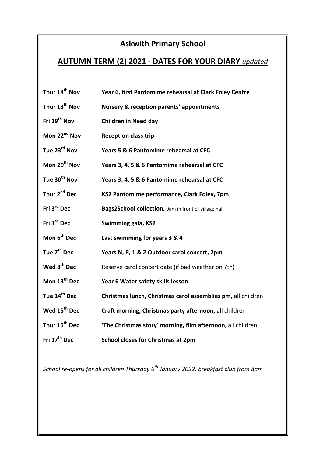## **Askwith Primary School**

## **AUTUMN TERM (2) 2021 - DATES FOR YOUR DIARY** *updated*

| Thur 18 <sup>th</sup> Nov | Year 6, first Pantomime rehearsal at Clark Foley Centre      |
|---------------------------|--------------------------------------------------------------|
| Thur 18 <sup>th</sup> Nov | Nursery & reception parents' appointments                    |
| Fri 19 <sup>th</sup> Nov  | <b>Children in Need day</b>                                  |
| Mon 22 <sup>nd</sup> Nov  | <b>Reception class trip</b>                                  |
| Tue 23 <sup>rd</sup> Nov  | Years 5 & 6 Pantomime rehearsal at CFC                       |
| Mon 29 <sup>th</sup> Nov  | Years 3, 4, 5 & 6 Pantomime rehearsal at CFC                 |
| Tue 30 <sup>th</sup> Nov  | Years 3, 4, 5 & 6 Pantomime rehearsal at CFC                 |
| Thur 2 <sup>nd</sup> Dec  | KS2 Pantomime performance, Clark Foley, 7pm                  |
| Fri 3rd Dec               | Bags2School collection, 9am in front of village hall         |
|                           |                                                              |
| Fri 3 <sup>rd</sup> Dec   | Swimming gala, KS2                                           |
| Mon 6 <sup>th</sup> Dec   | Last swimming for years 3 & 4                                |
| Tue 7 <sup>th</sup> Dec   | Years N, R, 1 & 2 Outdoor carol concert, 2pm                 |
| Wed 8 <sup>th</sup> Dec   | Reserve carol concert date (if bad weather on 7th)           |
| Mon 13 <sup>th</sup> Dec  | Year 6 Water safety skills lesson                            |
| Tue 14 <sup>th</sup> Dec  | Christmas lunch, Christmas carol assemblies pm, all children |
| Wed 15 <sup>th</sup> Dec  | Craft morning, Christmas party afternoon, all children       |
| Thur 16 <sup>th</sup> Dec | 'The Christmas story' morning, film afternoon, all children  |

*School re-opens for all children Thursday 6th January 2022, breakfast club from 8am*